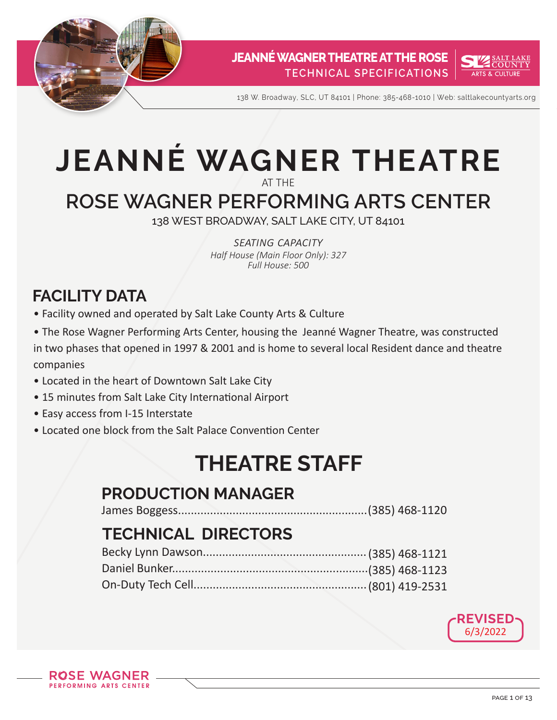



138 W. Broadway, SLC, UT 84101 | Phone: 385-468-1010 | Web: saltlakecountyarts.org

# **JEANNÉ WAGNER THEATRE** AT THE

# **ROSE WAGNER PERFORMING ARTS CENTER**

138 WEST BROADWAY, SALT LAKE CITY, UT 84101

*seating capacity Half House (Main Floor Only): 327 Full House: 500*

# **FACILITY DATA**

- Facility owned and operated by Salt Lake County Arts & Culture
- The Rose Wagner Performing Arts Center, housing the Jeanné Wagner Theatre, was constructed in two phases that opened in 1997 & 2001 and is home to several local Resident dance and theatre companies
- Located in the heart of Downtown Salt Lake City
- 15 minutes from Salt Lake City International Airport
- Easy access from I-15 Interstate
- Located one block from the Salt Palace Convention Center

# **THEATRE STAFF**

# **PRODUCTION MANAGER**

James Boggess...........................................................(385) 468-1120

# **TECHNICAL DIRECTORS**

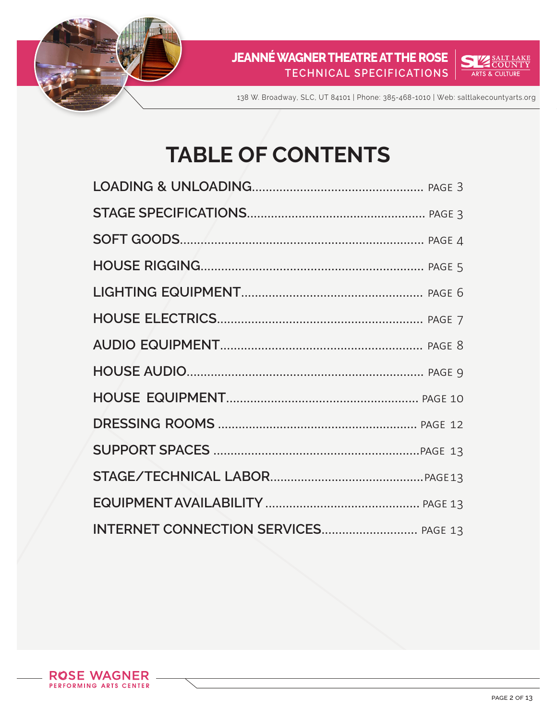



138 W. Broadway, SLC, UT 84101 | Phone: 385-468-1010 | Web: saltlakecountyarts.org

# **TABLE OF CONTENTS**

| INTERNET CONNECTION SERVICES PAGE 13 |  |
|--------------------------------------|--|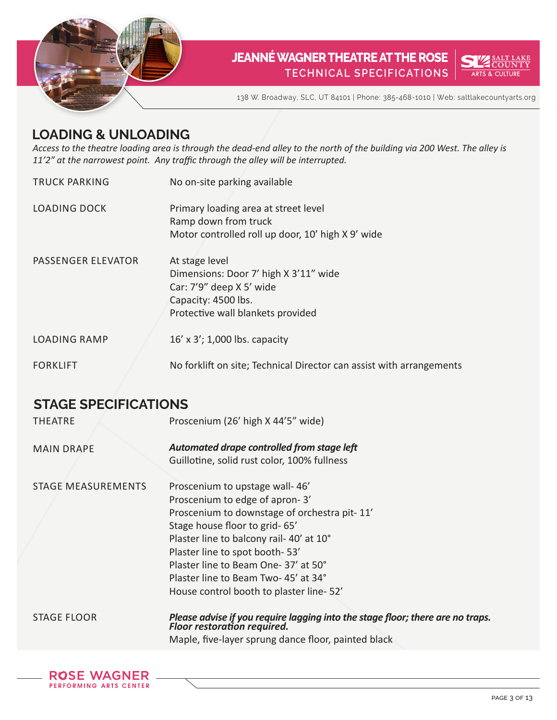



138 W. Broadway, SLC, UT 84101 | Phone: 385-468-1010 | Web: saltlakecountyarts.org

#### **LOADING & UNLOADING**

*Access to the theatre loading area is through the dead-end alley to the north of the building via 200 West. The alley is 11'2" at the narrowest point. Any traffic through the alley will be interrupted.*

- TRUCK PARKING LOADING DOCK No on-site parking available Primary loading area at street level Ramp down from truck Motor controlled roll up door, 10' high X 9' wide
- PASSENGER ELEVATOR At stage level Dimensions: Door 7' high X 3'11" wide Car: 7'9" deep X 5' wide Capacity: 4500 lbs. Protective wall blankets provided
- LOADING RAMP 16' x 3'; 1,000 lbs. capacity
- FORKLIFT No forklift on site; Technical Director can assist with arrangements

### **STAGE SPECIFICATIONS**

| <b>THEATRE</b>     | Proscenium (26' high X 44'5" wide)                                                                            |
|--------------------|---------------------------------------------------------------------------------------------------------------|
| <b>MAIN DRAPE</b>  | Automated drape controlled from stage left<br>Guillotine, solid rust color, 100% fullness                     |
|                    |                                                                                                               |
| STAGE MEASUREMENTS | Proscenium to upstage wall-46'                                                                                |
|                    | Proscenium to edge of apron-3'                                                                                |
|                    | Proscenium to downstage of orchestra pit-11'                                                                  |
|                    | Stage house floor to grid-65'                                                                                 |
|                    | Plaster line to balcony rail-40' at 10°                                                                       |
|                    | Plaster line to spot booth-53'                                                                                |
|                    | Plaster line to Beam One-37' at 50°                                                                           |
|                    | Plaster line to Beam Two-45' at 34°                                                                           |
|                    | House control booth to plaster line-52'                                                                       |
| <b>STAGE FLOOR</b> | Please advise if you require lagging into the stage floor; there are no traps.<br>Floor restoration required. |
|                    |                                                                                                               |

Maple, five-layer sprung dance floor, painted black

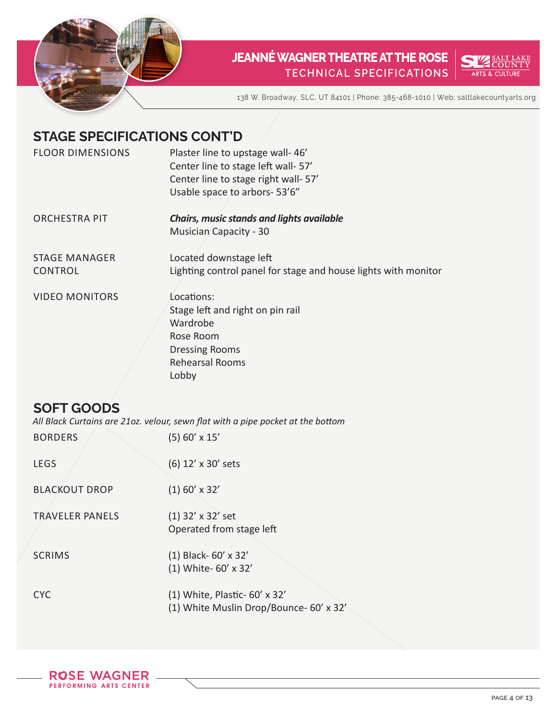



138 W. Broadway, SLC, UT 84101 | Phone: 385-468-1010 | Web: saltlakecountyarts.org

## **STAGE SPECIFICATIONS CONT'D**

| <b>FLOOR DIMENSIONS</b> | Plaster line to upstage wall-46'<br>Center line to stage left wall-57'<br>Center line to stage right wall- 57'<br>Usable space to arbors-53'6" |
|-------------------------|------------------------------------------------------------------------------------------------------------------------------------------------|
| <b>ORCHESTRA PIT</b>    | <b>Chairs, music stands and lights available</b><br><b>Musician Capacity - 30</b>                                                              |
| <b>STAGE MANAGER</b>    | Located downstage left                                                                                                                         |
| CONTROL                 | Lighting control panel for stage and house lights with monitor                                                                                 |
| <b>VIDEO MONITORS</b>   | Locations:                                                                                                                                     |
|                         | Stage left and right on pin rail                                                                                                               |
|                         | Wardrobe                                                                                                                                       |
|                         | Rose Room                                                                                                                                      |
|                         | <b>Dressing Rooms</b>                                                                                                                          |
|                         | Rehearsal Rooms                                                                                                                                |
|                         | Lobby                                                                                                                                          |

## **SOFT GOODS**

*All Black Curtains are 21oz. velour, sewn flat with a pipe pocket at the bottom*

| <b>BORDERS</b>         | $(5)$ 60' x 15'                                                          |
|------------------------|--------------------------------------------------------------------------|
| <b>LEGS</b>            | (6) 12' x 30' sets                                                       |
| <b>BLACKOUT DROP</b>   | $(1)$ 60' x 32'                                                          |
| <b>TRAVELER PANELS</b> | $(1)$ 32' x 32' set<br>Operated from stage left                          |
| <b>SCRIMS</b>          | $(1)$ Black- 60' x 32'<br>(1) White- 60' x 32'                           |
| <b>CYC</b>             | (1) White, Plastic- 60' x 32'<br>(1) White Muslin Drop/Bounce- 60' x 32' |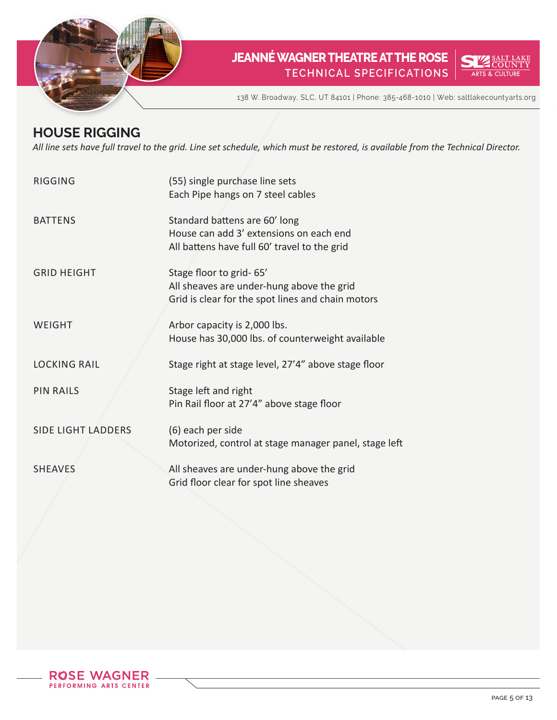



138 W. Broadway, SLC, UT 84101 | Phone: 385-468-1010 | Web: saltlakecountyarts.org

# **HOUSE RIGGING**

*All line sets have full travel to the grid. Line set schedule, which must be restored, is available from the Technical Director.*

| <b>RIGGING</b>            | (55) single purchase line sets<br>Each Pipe hangs on 7 steel cables                                                       |
|---------------------------|---------------------------------------------------------------------------------------------------------------------------|
| <b>BATTENS</b>            | Standard battens are 60' long<br>House can add 3' extensions on each end<br>All battens have full 60' travel to the grid  |
| <b>GRID HEIGHT</b>        | Stage floor to grid-65'<br>All sheaves are under-hung above the grid<br>Grid is clear for the spot lines and chain motors |
| WEIGHT                    | Arbor capacity is 2,000 lbs.<br>House has 30,000 lbs. of counterweight available                                          |
| <b>LOCKING RAIL</b>       | Stage right at stage level, 27'4" above stage floor                                                                       |
| <b>PIN RAILS</b>          | Stage left and right<br>Pin Rail floor at 27'4" above stage floor                                                         |
| <b>SIDE LIGHT LADDERS</b> | (6) each per side<br>Motorized, control at stage manager panel, stage left                                                |
| <b>SHEAVES</b>            | All sheaves are under-hung above the grid<br>Grid floor clear for spot line sheaves                                       |

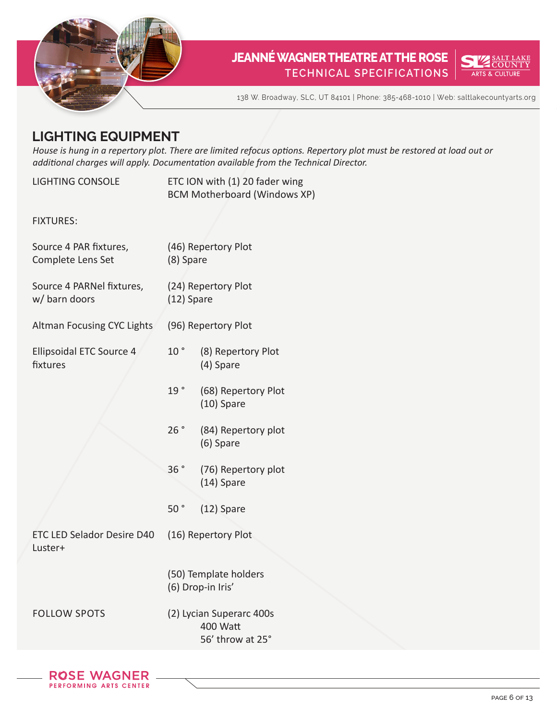



138 W. Broadway, SLC, UT 84101 | Phone: 385-468-1010 | Web: saltlakecountyarts.org

# **LIGHTING EQUIPMENT**

*House is hung in a repertory plot. There are limited refocus options. Repertory plot must be restored at load out or additional charges will apply. Documentation available from the Technical Director.*

| <b>LIGHTING CONSOLE</b>                     |                 | ETC ION with (1) 20 fader wing<br><b>BCM Motherboard (Windows XP)</b> |
|---------------------------------------------|-----------------|-----------------------------------------------------------------------|
| <b>FIXTURES:</b>                            |                 |                                                                       |
| Source 4 PAR fixtures,<br>Complete Lens Set | (8) Spare       | (46) Repertory Plot                                                   |
| Source 4 PARNel fixtures,<br>w/ barn doors  | (12) Spare      | (24) Repertory Plot                                                   |
| Altman Focusing CYC Lights                  |                 | (96) Repertory Plot                                                   |
| Ellipsoidal ETC Source 4<br>fixtures        | 10 <sup>°</sup> | (8) Repertory Plot<br>(4) Spare                                       |
|                                             | 19°             | (68) Repertory Plot<br>$(10)$ Spare                                   |
|                                             | 26°             | (84) Repertory plot<br>(6) Spare                                      |
|                                             | 36°             | (76) Repertory plot<br>$(14)$ Spare                                   |
|                                             | 50 <sup>°</sup> | (12) Spare                                                            |
| ETC LED Selador Desire D40<br>Luster+       |                 | (16) Repertory Plot                                                   |
|                                             |                 | (50) Template holders<br>(6) Drop-in Iris'                            |
| <b>FOLLOW SPOTS</b>                         |                 | (2) Lycian Superarc 400s<br>400 Watt<br>56' throw at 25°              |
|                                             |                 |                                                                       |

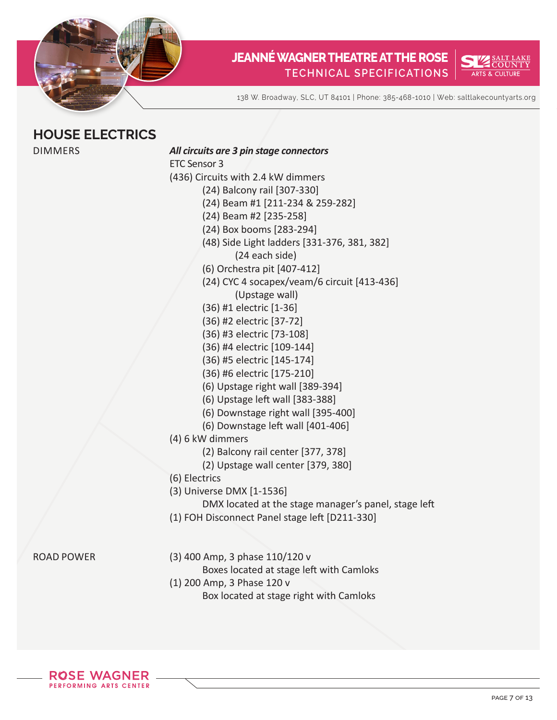



138 W. Broadway, SLC, UT 84101 | Phone: 385-468-1010 | Web: saltlakecountyarts.org

### **HOUSE ELECTRICS**

| <b>DIMMERS</b>    | All circuits are 3 pin stage connectors              |
|-------------------|------------------------------------------------------|
|                   | <b>ETC Sensor 3</b>                                  |
|                   | (436) Circuits with 2.4 kW dimmers                   |
|                   | (24) Balcony rail [307-330]                          |
|                   | (24) Beam #1 [211-234 & 259-282]                     |
|                   | (24) Beam #2 [235-258]                               |
|                   | (24) Box booms [283-294]                             |
|                   | (48) Side Light ladders [331-376, 381, 382]          |
|                   | (24 each side)                                       |
|                   | (6) Orchestra pit [407-412]                          |
|                   | (24) CYC 4 socapex/veam/6 circuit [413-436]          |
|                   | (Upstage wall)                                       |
|                   | (36) #1 electric [1-36]                              |
|                   | (36) #2 electric [37-72]                             |
|                   | (36) #3 electric [73-108]                            |
|                   | (36) #4 electric [109-144]                           |
|                   | (36) #5 electric [145-174]                           |
|                   | (36) #6 electric [175-210]                           |
|                   | (6) Upstage right wall [389-394]                     |
|                   | (6) Upstage left wall [383-388]                      |
|                   | (6) Downstage right wall [395-400]                   |
|                   | (6) Downstage left wall [401-406]                    |
|                   | (4) 6 kW dimmers                                     |
|                   | (2) Balcony rail center [377, 378]                   |
|                   | (2) Upstage wall center [379, 380]                   |
|                   | (6) Electrics                                        |
|                   | (3) Universe DMX [1-1536]                            |
|                   | DMX located at the stage manager's panel, stage left |
|                   | (1) FOH Disconnect Panel stage left [D211-330]       |
|                   |                                                      |
|                   |                                                      |
| <b>ROAD POWER</b> | (3) 400 Amp, 3 phase 110/120 v                       |
|                   | Boxes located at stage left with Camloks             |
|                   | (1) 200 Amp, 3 Phase 120 v                           |
|                   | Box located at stage right with Camloks              |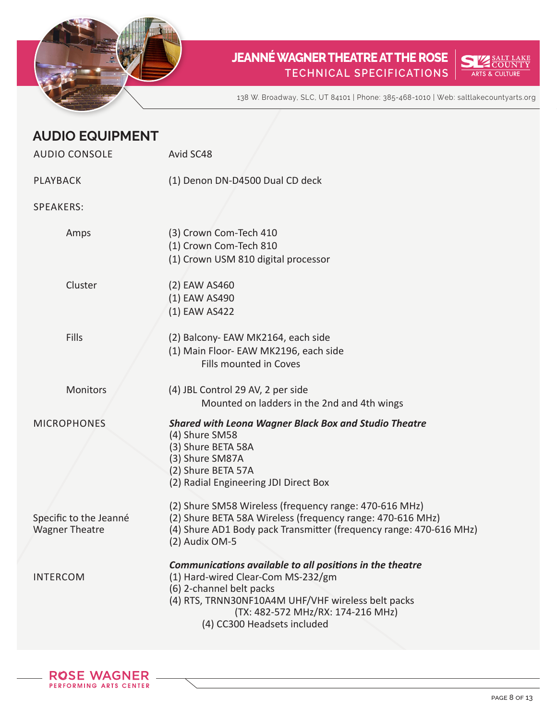



138 W. Broadway, SLC, UT 84101 | Phone: 385-468-1010 | Web: saltlakecountyarts.org

| <b>AUDIO EQUIPMENT</b>                          |                                                                                                                                                                                                                                                      |
|-------------------------------------------------|------------------------------------------------------------------------------------------------------------------------------------------------------------------------------------------------------------------------------------------------------|
| <b>AUDIO CONSOLE</b>                            | Avid SC48                                                                                                                                                                                                                                            |
| <b>PLAYBACK</b>                                 | (1) Denon DN-D4500 Dual CD deck                                                                                                                                                                                                                      |
| <b>SPEAKERS:</b>                                |                                                                                                                                                                                                                                                      |
| Amps                                            | (3) Crown Com-Tech 410<br>(1) Crown Com-Tech 810<br>(1) Crown USM 810 digital processor                                                                                                                                                              |
| Cluster                                         | (2) EAW AS460<br>(1) EAW AS490<br>(1) EAW AS422                                                                                                                                                                                                      |
| <b>Fills</b>                                    | (2) Balcony- EAW MK2164, each side<br>(1) Main Floor- EAW MK2196, each side<br>Fills mounted in Coves                                                                                                                                                |
| Monitors                                        | (4) JBL Control 29 AV, 2 per side<br>Mounted on ladders in the 2nd and 4th wings                                                                                                                                                                     |
| <b>MICROPHONES</b>                              | <b>Shared with Leona Wagner Black Box and Studio Theatre</b><br>(4) Shure SM58<br>(3) Shure BETA 58A<br>(3) Shure SM87A<br>(2) Shure BETA 57A<br>(2) Radial Engineering JDI Direct Box                                                               |
| Specific to the Jeanné<br><b>Wagner Theatre</b> | (2) Shure SM58 Wireless (frequency range: 470-616 MHz)<br>(2) Shure BETA 58A Wireless (frequency range: 470-616 MHz)<br>(4) Shure AD1 Body pack Transmitter (frequency range: 470-616 MHz)<br>(2) Audix OM-5                                         |
| <b>INTERCOM</b>                                 | Communications available to all positions in the theatre<br>(1) Hard-wired Clear-Com MS-232/gm<br>(6) 2-channel belt packs<br>(4) RTS, TRNN30NF10A4M UHF/VHF wireless belt packs<br>(TX: 482-572 MHz/RX: 174-216 MHz)<br>(4) CC300 Headsets included |

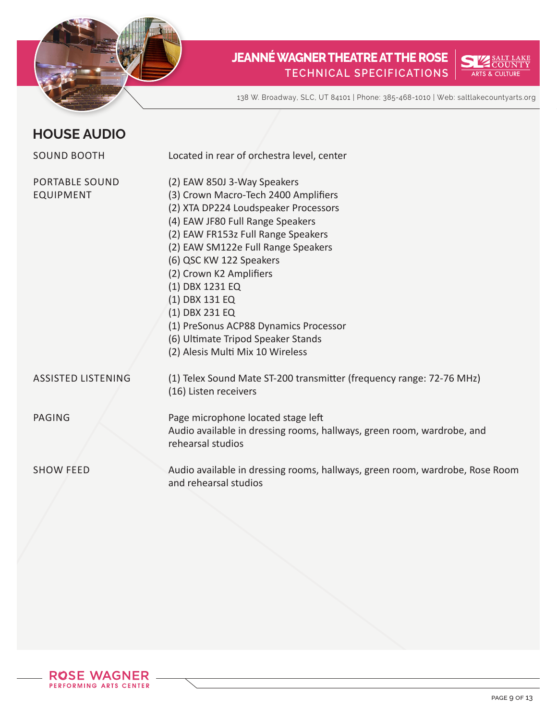



138 W. Broadway, SLC, UT 84101 | Phone: 385-468-1010 | Web: saltlakecountyarts.org

#### **HOUSE AUDIO**

| <b>SOUND BOOTH</b>                        | Located in rear of orchestra level, center                                                                                                                                                                                                                                                                                                                                                                                                                  |
|-------------------------------------------|-------------------------------------------------------------------------------------------------------------------------------------------------------------------------------------------------------------------------------------------------------------------------------------------------------------------------------------------------------------------------------------------------------------------------------------------------------------|
|                                           |                                                                                                                                                                                                                                                                                                                                                                                                                                                             |
| <b>PORTABLE SOUND</b><br><b>EQUIPMENT</b> | (2) EAW 850J 3-Way Speakers<br>(3) Crown Macro-Tech 2400 Amplifiers<br>(2) XTA DP224 Loudspeaker Processors<br>(4) EAW JF80 Full Range Speakers<br>(2) EAW FR153z Full Range Speakers<br>(2) EAW SM122e Full Range Speakers<br>(6) QSC KW 122 Speakers<br>(2) Crown K2 Amplifiers<br>(1) DBX 1231 EQ<br>(1) DBX 131 EQ<br>(1) DBX 231 EQ<br>(1) PreSonus ACP88 Dynamics Processor<br>(6) Ultimate Tripod Speaker Stands<br>(2) Alesis Multi Mix 10 Wireless |
| <b>ASSISTED LISTENING</b>                 | (1) Telex Sound Mate ST-200 transmitter (frequency range: 72-76 MHz)<br>(16) Listen receivers                                                                                                                                                                                                                                                                                                                                                               |
| <b>PAGING</b>                             | Page microphone located stage left<br>Audio available in dressing rooms, hallways, green room, wardrobe, and<br>rehearsal studios                                                                                                                                                                                                                                                                                                                           |
| <b>SHOW FEED</b>                          | Audio available in dressing rooms, hallways, green room, wardrobe, Rose Room<br>and rehearsal studios                                                                                                                                                                                                                                                                                                                                                       |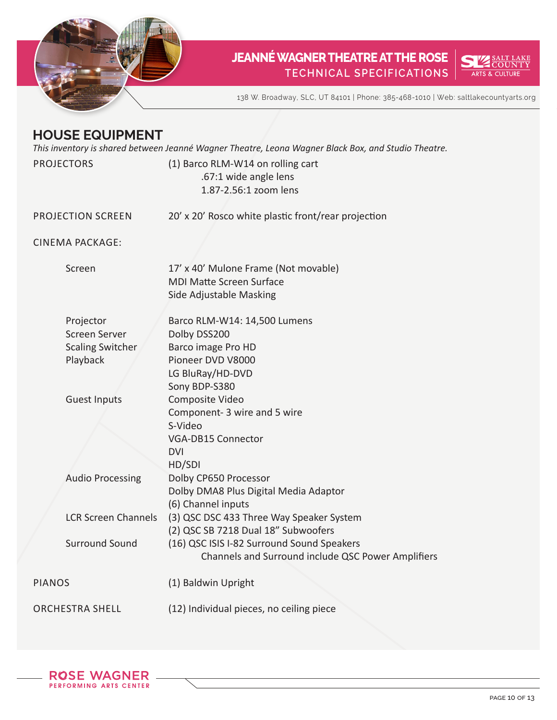



138 W. Broadway, SLC, UT 84101 | Phone: 385-468-1010 | Web: saltlakecountyarts.org

#### **HOUSE EQUIPMENT**

*This inventory is shared between Jeanné Wagner Theatre, Leona Wagner Black Box, and Studio Theatre.*

| <b>PROJECTORS</b>                                                 | (1) Barco RLM-W14 on rolling cart<br>.67:1 wide angle lens<br>1.87-2.56:1 zoom lens                                           |
|-------------------------------------------------------------------|-------------------------------------------------------------------------------------------------------------------------------|
| <b>PROJECTION SCREEN</b>                                          | 20' x 20' Rosco white plastic front/rear projection                                                                           |
| <b>CINEMA PACKAGE:</b>                                            |                                                                                                                               |
| Screen                                                            | 17' x 40' Mulone Frame (Not movable)<br><b>MDI Matte Screen Surface</b><br>Side Adjustable Masking                            |
| Projector<br>Screen Server<br><b>Scaling Switcher</b><br>Playback | Barco RLM-W14: 14,500 Lumens<br>Dolby DSS200<br>Barco image Pro HD<br>Pioneer DVD V8000<br>LG BluRay/HD-DVD<br>Sony BDP-S380  |
| <b>Guest Inputs</b>                                               | Composite Video<br>Component- 3 wire and 5 wire<br>S-Video<br>VGA-DB15 Connector<br><b>DVI</b><br>HD/SDI                      |
| <b>Audio Processing</b>                                           | Dolby CP650 Processor<br>Dolby DMA8 Plus Digital Media Adaptor<br>(6) Channel inputs                                          |
| <b>LCR Screen Channels</b><br><b>Surround Sound</b>               | (3) QSC DSC 433 Three Way Speaker System<br>(2) QSC SB 7218 Dual 18" Subwoofers<br>(16) QSC ISIS I-82 Surround Sound Speakers |
| <b>PIANOS</b>                                                     | Channels and Surround include QSC Power Amplifiers<br>(1) Baldwin Upright                                                     |
| <b>ORCHESTRA SHELL</b>                                            | (12) Individual pieces, no ceiling piece                                                                                      |

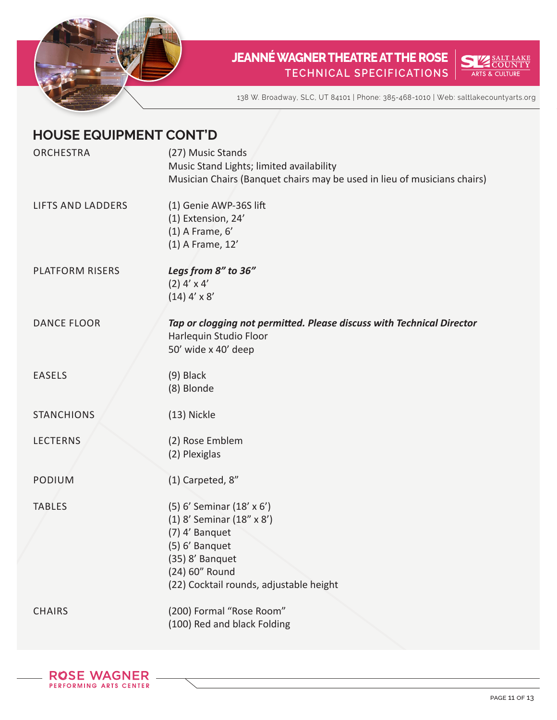



138 W. Broadway, SLC, UT 84101 | Phone: 385-468-1010 | Web: saltlakecountyarts.org

| <b>HOUSE EQUIPMENT CONT'D</b> |                                                                                                                                                                            |  |
|-------------------------------|----------------------------------------------------------------------------------------------------------------------------------------------------------------------------|--|
| <b>ORCHESTRA</b>              | (27) Music Stands<br>Music Stand Lights; limited availability<br>Musician Chairs (Banquet chairs may be used in lieu of musicians chairs)                                  |  |
| <b>LIFTS AND LADDERS</b>      | (1) Genie AWP-36S lift<br>(1) Extension, 24'<br>$(1)$ A Frame, $6'$<br>(1) A Frame, 12'                                                                                    |  |
| <b>PLATFORM RISERS</b>        | Legs from 8" to 36"<br>$(2)$ 4' x 4'<br>$(14)$ 4' x 8'                                                                                                                     |  |
| <b>DANCE FLOOR</b>            | Tap or clogging not permitted. Please discuss with Technical Director<br>Harlequin Studio Floor<br>50' wide x 40' deep                                                     |  |
| <b>EASELS</b>                 | $(9)$ Black<br>(8) Blonde                                                                                                                                                  |  |
| <b>STANCHIONS</b>             | (13) Nickle                                                                                                                                                                |  |
| <b>LECTERNS</b>               | (2) Rose Emblem<br>(2) Plexiglas                                                                                                                                           |  |
| <b>PODIUM</b>                 | (1) Carpeted, 8"                                                                                                                                                           |  |
| <b>TABLES</b>                 | (5) 6' Seminar (18' x 6')<br>(1) 8' Seminar (18" x 8')<br>(7) 4' Banquet<br>(5) 6' Banquet<br>(35) 8' Banquet<br>(24) 60" Round<br>(22) Cocktail rounds, adjustable height |  |
| <b>CHAIRS</b>                 | (200) Formal "Rose Room"<br>(100) Red and black Folding                                                                                                                    |  |

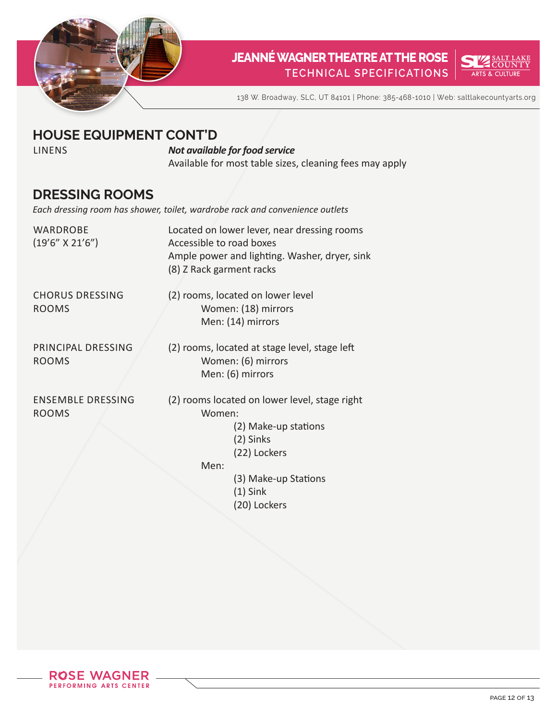



138 W. Broadway, SLC, UT 84101 | Phone: 385-468-1010 | Web: saltlakecountyarts.org

#### **HOUSE EQUIPMENT CONT'D**

#### LINENS *Not available for food service*

Available for most table sizes, cleaning fees may apply

#### **DRESSING ROOMS**

*Each dressing room has shower, toilet, wardrobe rack and convenience outlets*

| WARDROBE<br>$(19'6'' \times 21'6'')$     | Located on lower lever, near dressing rooms<br>Accessible to road boxes<br>Ample power and lighting. Washer, dryer, sink<br>(8) Z Rack garment racks                       |
|------------------------------------------|----------------------------------------------------------------------------------------------------------------------------------------------------------------------------|
| <b>CHORUS DRESSING</b><br><b>ROOMS</b>   | (2) rooms, located on lower level<br>Women: (18) mirrors<br>Men: (14) mirrors                                                                                              |
| PRINCIPAL DRESSING<br><b>ROOMS</b>       | (2) rooms, located at stage level, stage left<br>Women: (6) mirrors<br>Men: (6) mirrors                                                                                    |
| <b>ENSEMBLE DRESSING</b><br><b>ROOMS</b> | (2) rooms located on lower level, stage right<br>Women:<br>(2) Make-up stations<br>(2) Sinks<br>(22) Lockers<br>Men:<br>(3) Make-up Stations<br>$(1)$ Sink<br>(20) Lockers |